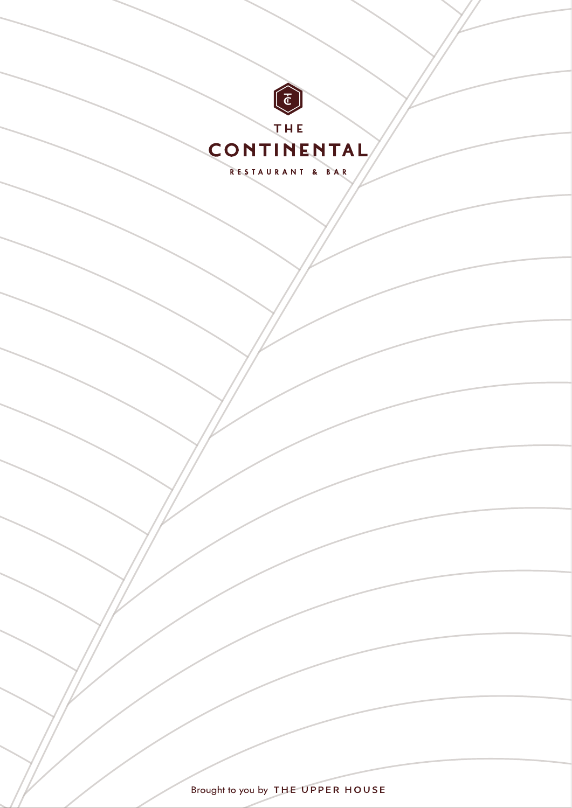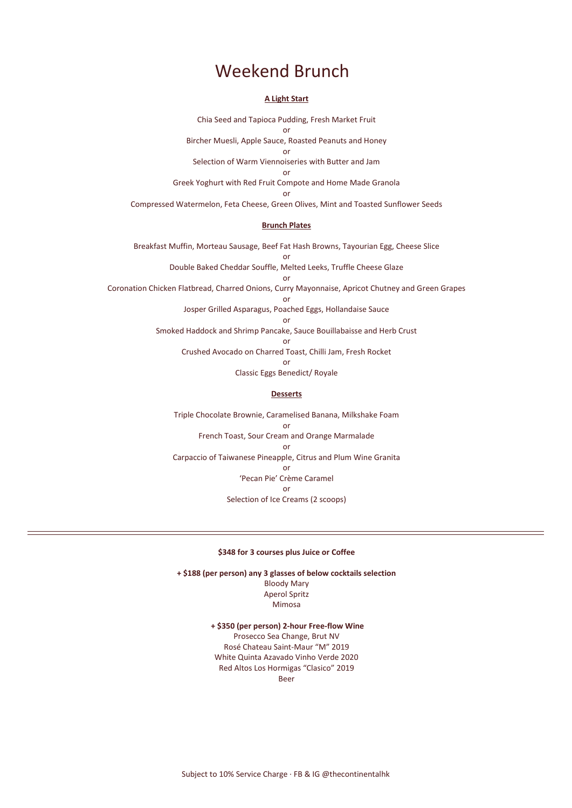### Weekend Brunch

#### **A Light Start**

Chia Seed and Tapioca Pudding, Fresh Market Fruit

or Bircher Muesli, Apple Sauce, Roasted Peanuts and Honey

or

Selection of Warm Viennoiseries with Butter and Jam

or

Greek Yoghurt with Red Fruit Compote and Home Made Granola

or

Compressed Watermelon, Feta Cheese, Green Olives, Mint and Toasted Sunflower Seeds

### **Brunch Plates**

Breakfast Muffin, Morteau Sausage, Beef Fat Hash Browns, Tayourian Egg, Cheese Slice or

> Double Baked Cheddar Souffle, Melted Leeks, Truffle Cheese Glaze or

Coronation Chicken Flatbread, Charred Onions, Curry Mayonnaise, Apricot Chutney and Green Grapes

or

Josper Grilled Asparagus, Poached Eggs, Hollandaise Sauce

or

Smoked Haddock and Shrimp Pancake, Sauce Bouillabaisse and Herb Crust

or

Crushed Avocado on Charred Toast, Chilli Jam, Fresh Rocket

or

Classic Eggs Benedict/ Royale

### **Desserts**

Triple Chocolate Brownie, Caramelised Banana, Milkshake Foam or French Toast, Sour Cream and Orange Marmalade or Carpaccio of Taiwanese Pineapple, Citrus and Plum Wine Granita or 'Pecan Pie' Crème Caramel or Selection of Ice Creams (2 scoops)

#### **\$348 for 3 courses plus Juice or Coffee**

**+ \$188 (per person) any 3 glasses of below cocktails selection** Bloody Mary Aperol Spritz Mimosa

> **+ \$350 (per person) 2-hour Free-flow Wine** Prosecco Sea Change, Brut NV Rosé Chateau Saint-Maur "M" 2019 White Quinta Azavado Vinho Verde 2020 Red Altos Los Hormigas "Clasico" 2019 Beer